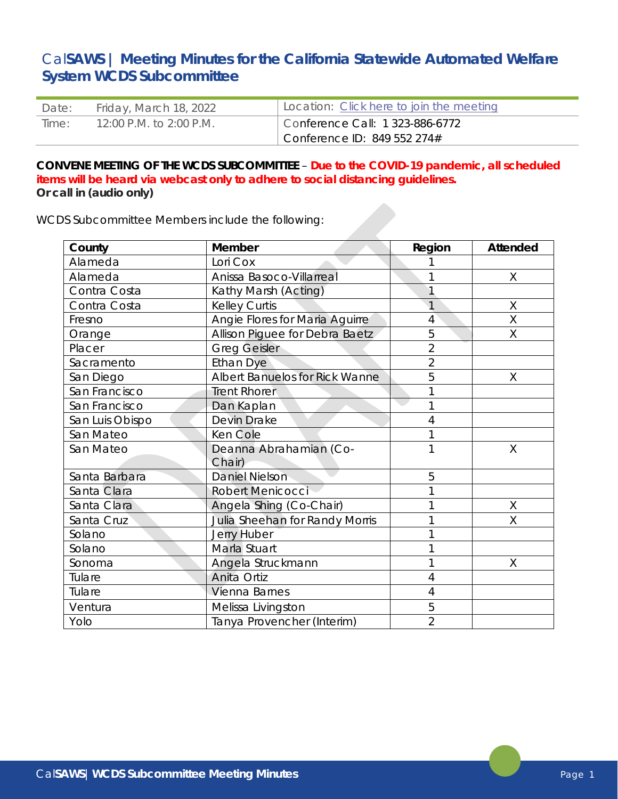# Cal**SAWS | Meeting Minutes for the California Statewide Automated Welfare System WCDS Subcommittee**

| Date: | Friday, March 18, 2022  | Location: Click here to join the meeting |
|-------|-------------------------|------------------------------------------|
| Time: | 12:00 P.M. to 2:00 P.M. | Conference Call: $1\,323-886-6772$       |
|       |                         | Conference ID: $849552274#$              |

# **CONVENE MEETING OF THE WCDS SUBCOMMITTEE** – **Due to the COVID-19 pandemic, all scheduled items will be heard via webcast only to adhere to social distancing guidelines. Or call in (audio only)**

WCDS Subcommittee Members include the following:

| County          | <b>Member</b>                  | Region         | <b>Attended</b> |
|-----------------|--------------------------------|----------------|-----------------|
| Alameda         | Lori Cox                       |                |                 |
| Alameda         | Anissa Basoco-Villarreal       |                | $\sf X$         |
| Contra Costa    | Kathy Marsh (Acting)           |                |                 |
| Contra Costa    | <b>Kelley Curtis</b>           | 1              | Χ               |
| Fresno          | Angie Flores for Maria Aguirre | 4              | X               |
| Orange          | Allison Piguee for Debra Baetz | 5              | X               |
| Placer          | <b>Greg Geisler</b>            | $\overline{2}$ |                 |
| Sacramento      | <b>Ethan Dye</b>               | $\overline{2}$ |                 |
| San Diego       | Albert Banuelos for Rick Wanne | 5              | Χ               |
| San Francisco   | <b>Trent Rhorer</b>            | 1              |                 |
| San Francisco   | Dan Kaplan                     |                |                 |
| San Luis Obispo | Devin Drake                    | 4              |                 |
| San Mateo       | Ken Cole                       | 1              |                 |
| San Mateo       | Deanna Abrahamian (Co-         | 1              | X               |
|                 | Chair)                         |                |                 |
| Santa Barbara   | <b>Daniel Nielson</b>          | 5              |                 |
| Santa Clara     | Robert Menicocci               | 1              |                 |
| Santa Clara     | Angela Shing (Co-Chair)        |                | X               |
| Santa Cruz      | Julia Sheehan for Randy Morris | 1              | $\sf X$         |
| Solano          | <b>Jerry Huber</b>             | 1              |                 |
| Solano          | Marla Stuart                   | 1              |                 |
| Sonoma          | Angela Struckmann              | 1              | Χ               |
| Tulare          | Anita Ortiz                    | 4              |                 |
| Tulare          | Vienna Barnes                  | 4              |                 |
| Ventura         | Melissa Livingston             | 5              |                 |
| Yolo            | Tanya Provencher (Interim)     | $\overline{2}$ |                 |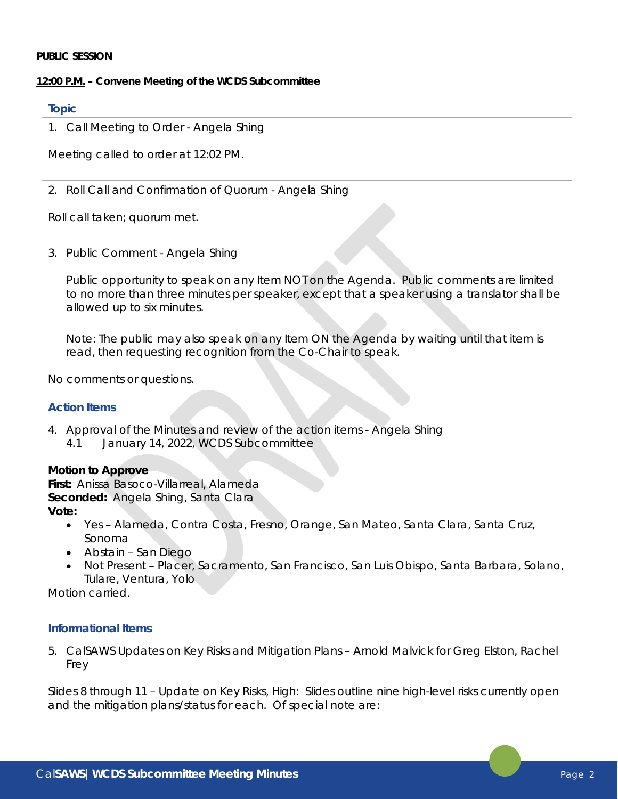#### **PUBLIC SESSION**

## **12:00 P.M. – Convene Meeting of the WCDS Subcommittee**

## **Topic**

1. Call Meeting to Order - Angela Shing

Meeting called to order at 12:02 PM.

2. Roll Call and Confirmation of Quorum - Angela Shing

Roll call taken; quorum met.

3. Public Comment - Angela Shing

Public opportunity to speak on any Item NOT on the Agenda. Public comments are limited to no more than three minutes per speaker, except that a speaker using a translator shall be allowed up to six minutes.

Note: The public may also speak on any Item ON the Agenda by waiting until that item is read, then requesting recognition from the Co-Chair to speak.

No comments or questions.

## **Action Items**

4. Approval of the Minutes and review of the action items - Angela Shing 4.1 January 14, 2022, WCDS Subcommittee

## **Motion to Approve**

**First:** Anissa Basoco-Villarreal, Alameda **Seconded:** Angela Shing, Santa Clara **Vote:**

- Yes Alameda, Contra Costa, Fresno, Orange, San Mateo, Santa Clara, Santa Cruz, Sonoma
- Abstain San Diego
- Not Present Placer, Sacramento, San Francisco, San Luis Obispo, Santa Barbara, Solano, Tulare, Ventura, Yolo

*Motion carried.* 

## **Informational Items**

5. CalSAWS Updates on Key Risks and Mitigation Plans – Arnold Malvick for Greg Elston, Rachel Frey

Slides 8 through 11 – Update on Key Risks, High: Slides outline nine high-level risks currently open and the mitigation plans/status for each. Of special note are: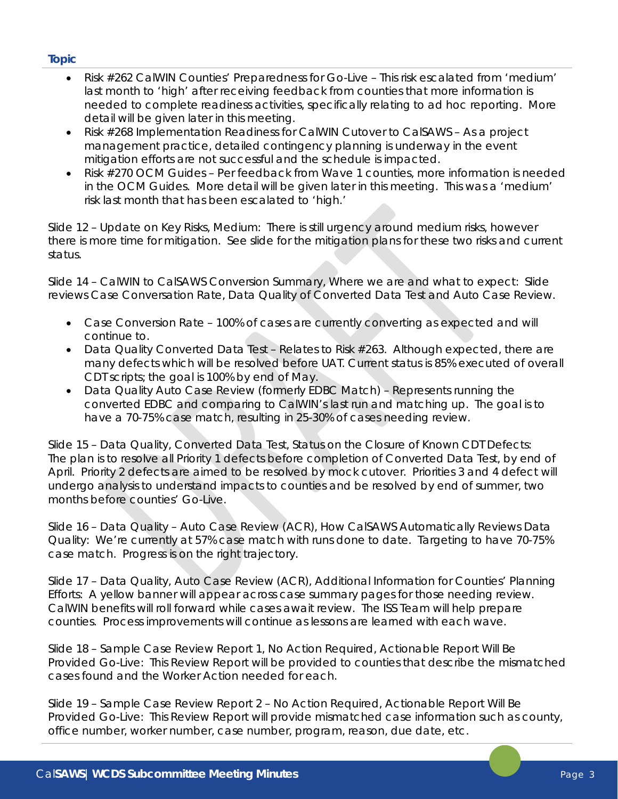- Risk #262 CalWIN Counties' Preparedness for Go-Live This risk escalated from 'medium' last month to 'high' after receiving feedback from counties that more information is needed to complete readiness activities, specifically relating to ad hoc reporting. More detail will be given later in this meeting.
- Risk #268 Implementation Readiness for CalWIN Cutover to CalSAWS As a project management practice, detailed contingency planning is underway in the event mitigation efforts are not successful and the schedule is impacted.
- Risk #270 OCM Guides Per feedback from Wave 1 counties, more information is needed in the OCM Guides. More detail will be given later in this meeting. This was a 'medium' risk last month that has been escalated to 'high.'

Slide 12 – Update on Key Risks, Medium: There is still urgency around medium risks, however there is more time for mitigation. See slide for the mitigation plans for these two risks and current status.

Slide 14 – CalWIN to CalSAWS Conversion Summary, Where we are and what to expect: Slide reviews Case Conversation Rate, Data Quality of Converted Data Test and Auto Case Review.

- Case Conversion Rate 100% of cases are currently converting as expected and will continue to.
- Data Quality Converted Data Test Relates to Risk #263. Although expected, there are many defects which will be resolved before UAT. Current status is 85% executed of overall CDT scripts; the goal is 100% by end of May.
- Data Quality Auto Case Review (formerly EDBC Match) Represents running the converted EDBC and comparing to CalWIN's last run and matching up. The goal is to have a 70-75% case match, resulting in 25-30% of cases needing review.

Slide 15 – Data Quality, Converted Data Test, Status on the Closure of Known CDT Defects: The plan is to resolve all Priority 1 defects before completion of Converted Data Test, by end of April. Priority 2 defects are aimed to be resolved by mock cutover. Priorities 3 and 4 defect will undergo analysis to understand impacts to counties and be resolved by end of summer, two months before counties' Go-Live.

Slide 16 – Data Quality – Auto Case Review (ACR), How CalSAWS Automatically Reviews Data Quality: We're currently at 57% case match with runs done to date. Targeting to have 70-75% case match. Progress is on the right trajectory.

Slide 17 – Data Quality, Auto Case Review (ACR), Additional Information for Counties' Planning Efforts: A yellow banner will appear across case summary pages for those needing review. CalWIN benefits will roll forward while cases await review. The ISS Team will help prepare counties. Process improvements will continue as lessons are learned with each wave.

Slide 18 – Sample Case Review Report 1, No Action Required, Actionable Report Will Be Provided Go-Live: This Review Report will be provided to counties that describe the mismatched cases found and the Worker Action needed for each.

Slide 19 – Sample Case Review Report 2 – No Action Required, Actionable Report Will Be Provided Go-Live: This Review Report will provide mismatched case information such as county, office number, worker number, case number, program, reason, due date, etc.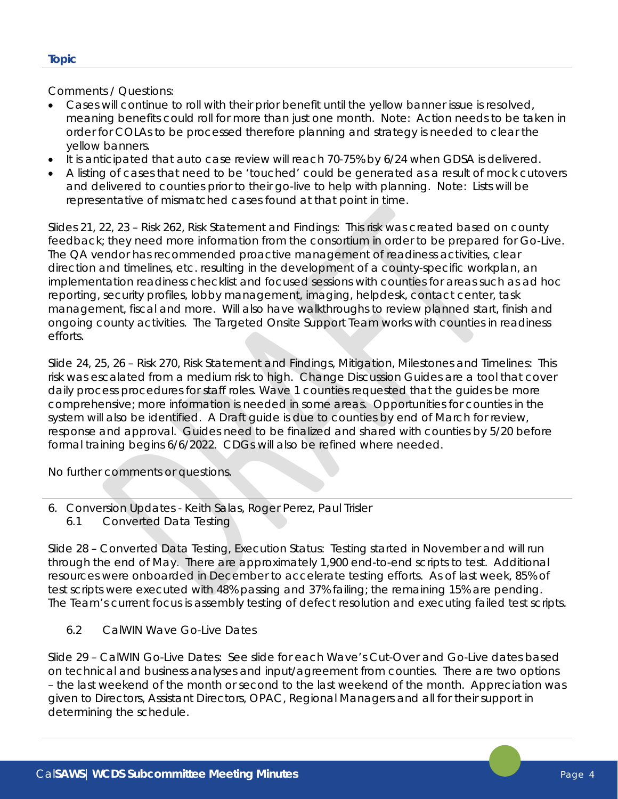Comments / Questions:

- Cases will continue to roll with their prior benefit until the yellow banner issue is resolved, meaning benefits could roll for more than just one month. Note: Action needs to be taken in order for COLAs to be processed therefore planning and strategy is needed to clear the yellow banners.
- It is anticipated that auto case review will reach 70-75% by 6/24 when GDSA is delivered.
- A listing of cases that need to be 'touched' could be generated as a result of mock cutovers and delivered to counties prior to their go-live to help with planning. Note: Lists will be representative of mismatched cases found at that point in time.

Slides 21, 22, 23 – Risk 262, Risk Statement and Findings: This risk was created based on county feedback; they need more information from the consortium in order to be prepared for Go-Live. The QA vendor has recommended proactive management of readiness activities, clear direction and timelines, etc. resulting in the development of a county-specific workplan, an implementation readiness checklist and focused sessions with counties for areas such as ad hoc reporting, security profiles, lobby management, imaging, helpdesk, contact center, task management, fiscal and more. Will also have walkthroughs to review planned start, finish and ongoing county activities. The Targeted Onsite Support Team works with counties in readiness efforts.

Slide 24, 25, 26 – Risk 270, Risk Statement and Findings, Mitigation, Milestones and Timelines: This risk was escalated from a medium risk to high. Change Discussion Guides are a tool that cover daily process procedures for staff roles. Wave 1 counties requested that the guides be more comprehensive; more information is needed in some areas. Opportunities for counties in the system will also be identified. A Draft guide is due to counties by end of March for review, response and approval. Guides need to be finalized and shared with counties by 5/20 before formal training begins 6/6/2022. CDGs will also be refined where needed.

No further comments or questions.

- 6. Conversion Updates Keith Salas, Roger Perez, Paul Trisler
	- 6.1 Converted Data Testing

Slide 28 – Converted Data Testing, Execution Status: Testing started in November and will run through the end of May. There are approximately 1,900 end-to-end scripts to test. Additional resources were onboarded in December to accelerate testing efforts. As of last week, 85% of test scripts were executed with 48% passing and 37% failing; the remaining 15% are pending. The Team's current focus is assembly testing of defect resolution and executing failed test scripts.

6.2 CalWIN Wave Go-Live Dates

Slide 29 – CalWIN Go-Live Dates: See slide for each Wave's Cut-Over and Go-Live dates based on technical and business analyses and input/agreement from counties. There are two options – the last weekend of the month or second to the last weekend of the month. Appreciation was given to Directors, Assistant Directors, OPAC, Regional Managers and all for their support in determining the schedule.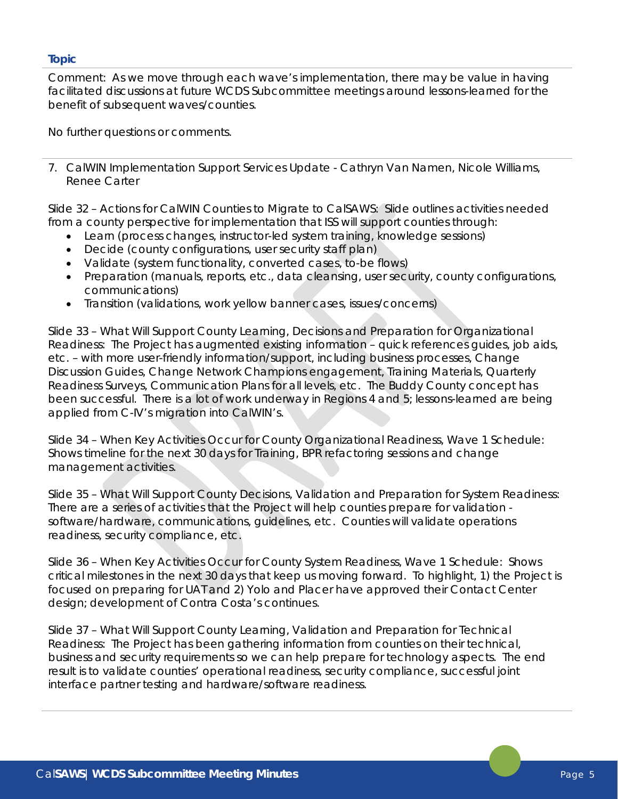Comment: As we move through each wave's implementation, there may be value in having facilitated discussions at future WCDS Subcommittee meetings around lessons-learned for the benefit of subsequent waves/counties.

No further questions or comments.

7. CalWIN Implementation Support Services Update - Cathryn Van Namen, Nicole Williams, Renee Carter

Slide 32 – Actions for CalWIN Counties to Migrate to CalSAWS: Slide outlines activities needed from a county perspective for implementation that ISS will support counties through:

- Learn (process changes, instructor-led system training, knowledge sessions)
- Decide (county configurations, user security staff plan)
- Validate (system functionality, converted cases, to-be flows)
- Preparation (manuals, reports, etc., data cleansing, user security, county configurations, communications)
- Transition (validations, work yellow banner cases, issues/concerns)

Slide 33 – What Will Support County Learning, Decisions and Preparation for Organizational Readiness: The Project has augmented existing information – quick references guides, job aids, etc. – with more user-friendly information/support, including business processes, Change Discussion Guides, Change Network Champions engagement, Training Materials, Quarterly Readiness Surveys, Communication Plans for all levels, etc. The Buddy County concept has been successful. There is a lot of work underway in Regions 4 and 5; lessons-learned are being applied from C-IV's migration into CalWIN's.

Slide 34 – When Key Activities Occur for County Organizational Readiness, Wave 1 Schedule: Shows timeline for the next 30 days for Training, BPR refactoring sessions and change management activities.

Slide 35 – What Will Support County Decisions, Validation and Preparation for System Readiness: There are a series of activities that the Project will help counties prepare for validation software/hardware, communications, guidelines, etc. Counties will validate operations readiness, security compliance, etc.

Slide 36 – When Key Activities Occur for County System Readiness, Wave 1 Schedule: Shows critical milestones in the next 30 days that keep us moving forward. To highlight, 1) the Project is focused on preparing for UAT and 2) Yolo and Placer have approved their Contact Center design; development of Contra Costa's continues.

Slide 37 – What Will Support County Learning, Validation and Preparation for Technical Readiness: The Project has been gathering information from counties on their technical, business and security requirements so we can help prepare for technology aspects. The end result is to validate counties' operational readiness, security compliance, successful joint interface partner testing and hardware/software readiness.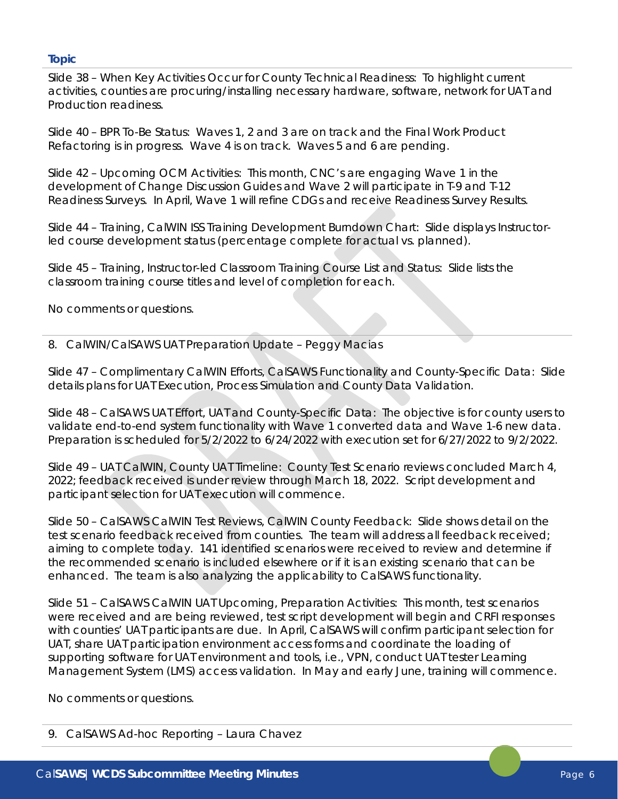Slide 38 – When Key Activities Occur for County Technical Readiness: To highlight current activities, counties are procuring/installing necessary hardware, software, network for UAT and Production readiness.

Slide 40 – BPR To-Be Status: Waves 1, 2 and 3 are on track and the Final Work Product Refactoring is in progress. Wave 4 is on track. Waves 5 and 6 are pending.

Slide 42 – Upcoming OCM Activities: This month, CNC's are engaging Wave 1 in the development of Change Discussion Guides and Wave 2 will participate in T-9 and T-12 Readiness Surveys. In April, Wave 1 will refine CDGs and receive Readiness Survey Results.

Slide 44 – Training, CalWIN ISS Training Development Burndown Chart: Slide displays Instructorled course development status (percentage complete for actual vs. planned).

Slide 45 – Training, Instructor-led Classroom Training Course List and Status: Slide lists the classroom training course titles and level of completion for each.

No comments or questions.

8. CalWIN/CalSAWS UAT Preparation Update – Peggy Macias

Slide 47 – Complimentary CalWIN Efforts, CalSAWS Functionality and County-Specific Data: Slide details plans for UAT Execution, Process Simulation and County Data Validation.

Slide 48 – CalSAWS UAT Effort, UAT and County-Specific Data: The objective is for county users to validate end-to-end system functionality with Wave 1 converted data and Wave 1-6 new data. Preparation is scheduled for 5/2/2022 to 6/24/2022 with execution set for 6/27/2022 to 9/2/2022.

Slide 49 – UAT CalWIN, County UAT Timeline: County Test Scenario reviews concluded March 4, 2022; feedback received is under review through March 18, 2022. Script development and participant selection for UAT execution will commence.

Slide 50 – CalSAWS CalWIN Test Reviews, CalWIN County Feedback: Slide shows detail on the test scenario feedback received from counties. The team will address all feedback received; aiming to complete today. 141 identified scenarios were received to review and determine if the recommended scenario is included elsewhere or if it is an existing scenario that can be enhanced. The team is also analyzing the applicability to CalSAWS functionality.

Slide 51 – CalSAWS CalWIN UAT Upcoming, Preparation Activities: This month, test scenarios were received and are being reviewed, test script development will begin and CRFI responses with counties' UAT participants are due. In April, CalSAWS will confirm participant selection for UAT, share UAT participation environment access forms and coordinate the loading of supporting software for UAT environment and tools, i.e., VPN, conduct UAT tester Learning Management System (LMS) access validation. In May and early June, training will commence.

No comments or questions.

9. CalSAWS Ad-hoc Reporting – Laura Chavez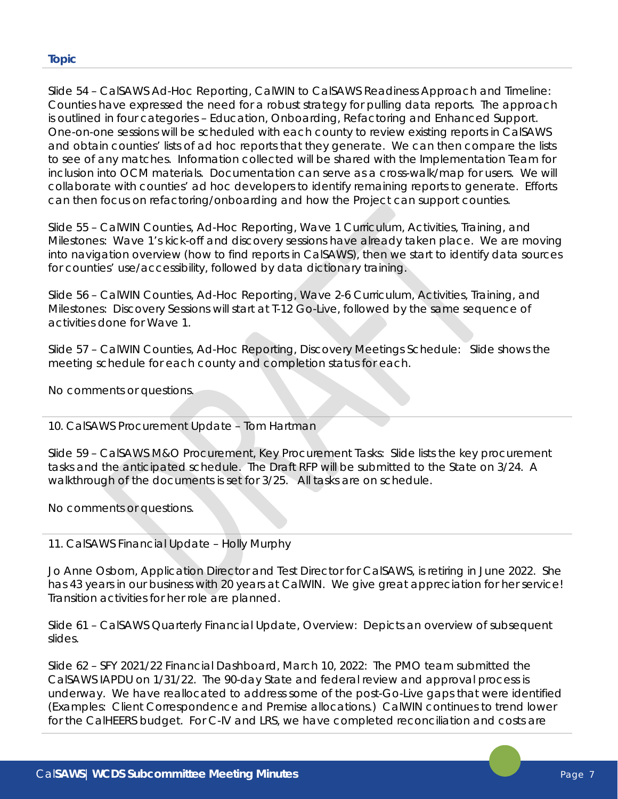Slide 54 – CalSAWS Ad-Hoc Reporting, CalWIN to CalSAWS Readiness Approach and Timeline: Counties have expressed the need for a robust strategy for pulling data reports. The approach is outlined in four categories – Education, Onboarding, Refactoring and Enhanced Support. One-on-one sessions will be scheduled with each county to review existing reports in CalSAWS and obtain counties' lists of ad hoc reports that they generate. We can then compare the lists to see of any matches. Information collected will be shared with the Implementation Team for inclusion into OCM materials. Documentation can serve as a cross-walk/map for users. We will collaborate with counties' ad hoc developers to identify remaining reports to generate. Efforts can then focus on refactoring/onboarding and how the Project can support counties.

Slide 55 – CalWIN Counties, Ad-Hoc Reporting, Wave 1 Curriculum, Activities, Training, and Milestones: Wave 1's kick-off and discovery sessions have already taken place. We are moving into navigation overview (how to find reports in CalSAWS), then we start to identify data sources for counties' use/accessibility, followed by data dictionary training.

Slide 56 – CalWIN Counties, Ad-Hoc Reporting, Wave 2-6 Curriculum, Activities, Training, and Milestones: Discovery Sessions will start at T-12 Go-Live, followed by the same sequence of activities done for Wave 1.

Slide 57 – CalWIN Counties, Ad-Hoc Reporting, Discovery Meetings Schedule: Slide shows the meeting schedule for each county and completion status for each.

No comments or questions.

10. CalSAWS Procurement Update – Tom Hartman

Slide 59 – CalSAWS M&O Procurement, Key Procurement Tasks: Slide lists the key procurement tasks and the anticipated schedule. The Draft RFP will be submitted to the State on 3/24. A walkthrough of the documents is set for 3/25. All tasks are on schedule.

No comments or questions.

11. CalSAWS Financial Update – Holly Murphy

Jo Anne Osborn, Application Director and Test Director for CalSAWS, is retiring in June 2022. She has 43 years in our business with 20 years at CalWIN. We give great appreciation for her service! Transition activities for her role are planned.

Slide 61 – CalSAWS Quarterly Financial Update, Overview: Depicts an overview of subsequent slides.

Slide 62 – SFY 2021/22 Financial Dashboard, March 10, 2022: The PMO team submitted the CalSAWS IAPDU on 1/31/22. The 90-day State and federal review and approval process is underway. We have reallocated to address some of the post-Go-Live gaps that were identified (Examples: Client Correspondence and Premise allocations.) CalWIN continues to trend lower for the CalHEERS budget. For C-IV and LRS, we have completed reconciliation and costs are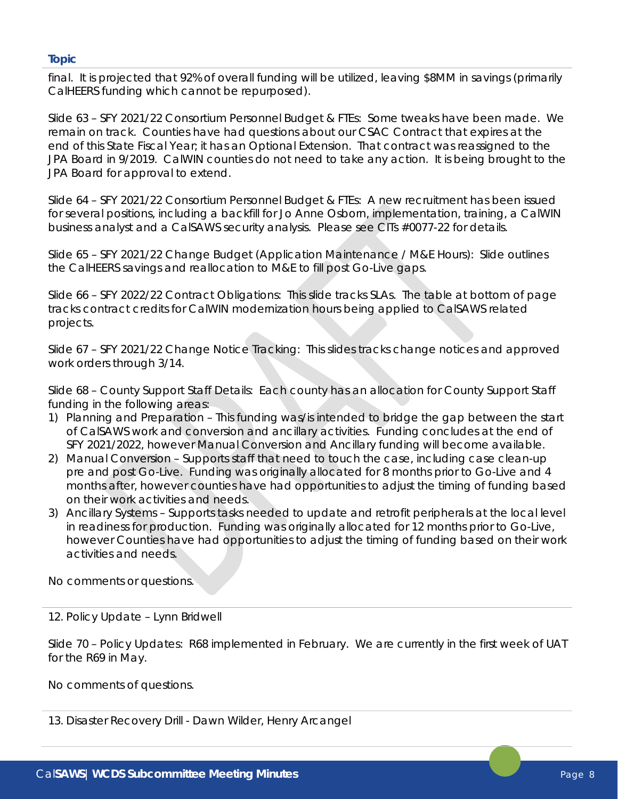final. It is projected that 92% of overall funding will be utilized, leaving \$8MM in savings (primarily CalHEERS funding which cannot be repurposed).

Slide 63 – SFY 2021/22 Consortium Personnel Budget & FTEs: Some tweaks have been made. We remain on track. Counties have had questions about our CSAC Contract that expires at the end of this State Fiscal Year; it has an Optional Extension. That contract was reassigned to the JPA Board in 9/2019. CalWIN counties do not need to take any action. It is being brought to the JPA Board for approval to extend.

Slide 64 – SFY 2021/22 Consortium Personnel Budget & FTEs: A new recruitment has been issued for several positions, including a backfill for Jo Anne Osborn, implementation, training, a CalWIN business analyst and a CalSAWS security analysis. Please see CITs #0077-22 for details.

Slide 65 – SFY 2021/22 Change Budget (Application Maintenance / M&E Hours): Slide outlines the CalHEERS savings and reallocation to M&E to fill post Go-Live gaps.

Slide 66 – SFY 2022/22 Contract Obligations: This slide tracks SLAs. The table at bottom of page tracks contract credits for CalWIN modernization hours being applied to CalSAWS related projects.

Slide 67 – SFY 2021/22 Change Notice Tracking: This slides tracks change notices and approved work orders through 3/14.

Slide 68 – County Support Staff Details: Each county has an allocation for County Support Staff funding in the following areas:

- 1) Planning and Preparation This funding was/is intended to bridge the gap between the start of CalSAWS work and conversion and ancillary activities. Funding concludes at the end of SFY 2021/2022, however Manual Conversion and Ancillary funding will become available.
- 2) Manual Conversion Supports staff that need to touch the case, including case clean-up pre and post Go-Live. Funding was originally allocated for 8 months prior to Go-Live and 4 months after, however counties have had opportunities to adjust the timing of funding based on their work activities and needs.
- 3) Ancillary Systems Supports tasks needed to update and retrofit peripherals at the local level in readiness for production. Funding was originally allocated for 12 months prior to Go-Live, however Counties have had opportunities to adjust the timing of funding based on their work activities and needs.

No comments or questions.

# 12. Policy Update – Lynn Bridwell

Slide 70 – Policy Updates: R68 implemented in February. We are currently in the first week of UAT for the R69 in May.

No comments of questions.

13. Disaster Recovery Drill - Dawn Wilder, Henry Arcangel